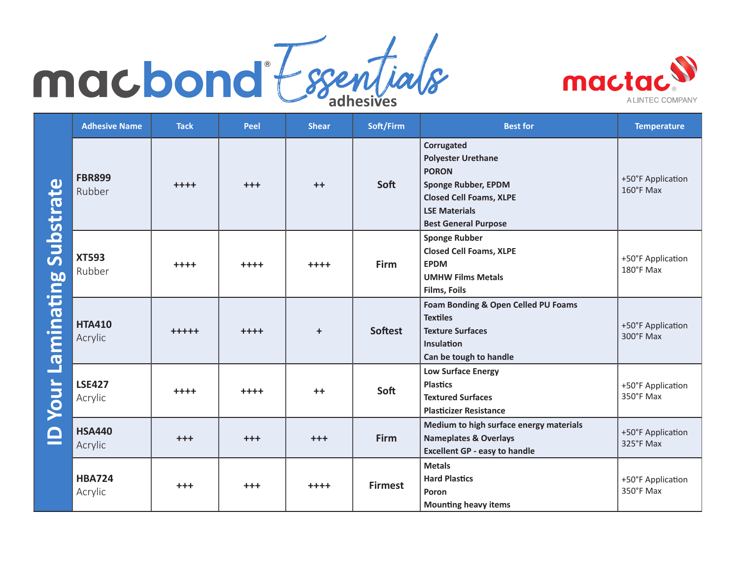## **adhesives** ®



|                                        | <b>Adhesive Name</b>     | <b>Tack</b> | Peel    | <b>Shear</b> | Soft/Firm      | <b>Best for</b>                                                                                                                                                                | <b>Temperature</b>                       |
|----------------------------------------|--------------------------|-------------|---------|--------------|----------------|--------------------------------------------------------------------------------------------------------------------------------------------------------------------------------|------------------------------------------|
| <b>Substrate</b><br>Laminating<br>Your | <b>FBR899</b><br>Rubber  | $+ + + +$   | $+++$   | $++$         | Soft           | Corrugated<br><b>Polyester Urethane</b><br><b>PORON</b><br><b>Sponge Rubber, EPDM</b><br><b>Closed Cell Foams, XLPE</b><br><b>LSE Materials</b><br><b>Best General Purpose</b> | +50°F Application<br>$160^{\circ}$ F Max |
|                                        | <b>XT593</b><br>Rubber   | $++++$      | $++++$  | $++++$       | <b>Firm</b>    | <b>Sponge Rubber</b><br><b>Closed Cell Foams, XLPE</b><br><b>EPDM</b><br><b>UMHW Films Metals</b><br><b>Films, Foils</b>                                                       | +50°F Application<br>180°F Max           |
|                                        | <b>HTA410</b><br>Acrylic | $+++++$     | $++++$  | $\ddot{}$    | <b>Softest</b> | Foam Bonding & Open Celled PU Foams<br><b>Textiles</b><br><b>Texture Surfaces</b><br><b>Insulation</b><br>Can be tough to handle                                               | +50°F Application<br>300°F Max           |
|                                        | <b>LSE427</b><br>Acrylic | $++++$      | $++++$  | $++$         | Soft           | <b>Low Surface Energy</b><br><b>Plastics</b><br><b>Textured Surfaces</b><br><b>Plasticizer Resistance</b>                                                                      | +50°F Application<br>350°F Max           |
|                                        | <b>HSA440</b><br>Acrylic | $+ + +$     | $+ + +$ | $+ + +$      | Firm           | Medium to high surface energy materials<br><b>Nameplates &amp; Overlays</b><br><b>Excellent GP - easy to handle</b>                                                            | +50°F Application<br>325°F Max           |
|                                        | <b>HBA724</b><br>Acrylic | $+ + +$     | $+ + +$ | $++++$       | <b>Firmest</b> | <b>Metals</b><br><b>Hard Plastics</b><br>Poron<br><b>Mounting heavy items</b>                                                                                                  | +50°F Application<br>350°F Max           |